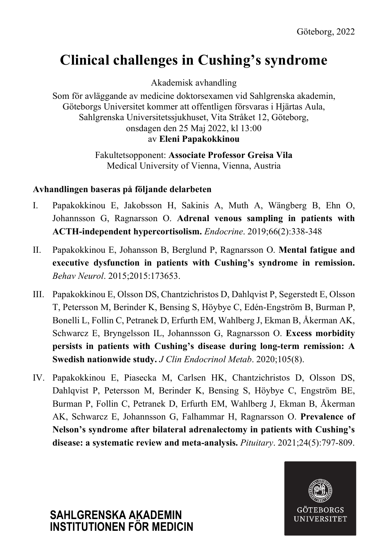### **Clinical challenges in Cushing's syndrome**

Akademisk avhandling

Som för avläggande av medicine doktorsexamen vid Sahlgrenska akademin, Göteborgs Universitet kommer att offentligen försvaras i Hjärtas Aula, Sahlgrenska Universitetssjukhuset, Vita Stråket 12, Göteborg, onsdagen den 25 Maj 2022, kl 13:00 av **Eleni Papakokkinou**

> Fakultetsopponent: **Associate Professor Greisa Vila** Medical University of Vienna, Vienna, Austria

#### **Avhandlingen baseras på följande delarbeten**

- I. Papakokkinou E, Jakobsson H, Sakinis A, Muth A, Wängberg B, Ehn O, Johannsson G, Ragnarsson O. **Adrenal venous sampling in patients with ACTH-independent hypercortisolism.** *Endocrine*. 2019;66(2):338-348
- II. Papakokkinou E, Johansson B, Berglund P, Ragnarsson O. **Mental fatigue and executive dysfunction in patients with Cushing's syndrome in remission.** *Behav Neurol*. 2015;2015:173653.
- III. Papakokkinou E, Olsson DS, Chantzichristos D, Dahlqvist P, Segerstedt E, Olsson T, Petersson M, Berinder K, Bensing S, Höybye C, Edén-Engström B, Burman P, Bonelli L, Follin C, Petranek D, Erfurth EM, Wahlberg J, Ekman B, Åkerman AK, Schwarcz E, Bryngelsson IL, Johannsson G, Ragnarsson O. **Excess morbidity persists in patients with Cushing's disease during long-term remission: A Swedish nationwide study.** *J Clin Endocrinol Metab*. 2020;105(8).
- IV. Papakokkinou E, Piasecka M, Carlsen HK, Chantzichristos D, Olsson DS, Dahlqvist P, Petersson M, Berinder K, Bensing S, Höybye C, Engström BE, Burman P, Follin C, Petranek D, Erfurth EM, Wahlberg J, Ekman B, Åkerman AK, Schwarcz E, Johannsson G, Falhammar H, Ragnarsson O. **Prevalence of Nelson's syndrome after bilateral adrenalectomy in patients with Cushing's disease: a systematic review and meta-analysis.** *Pituitary*. 2021;24(5):797-809.



# **SAHLGRENSKA AKADEMIN INSTITUTIONEN FÖR MEDICIN**